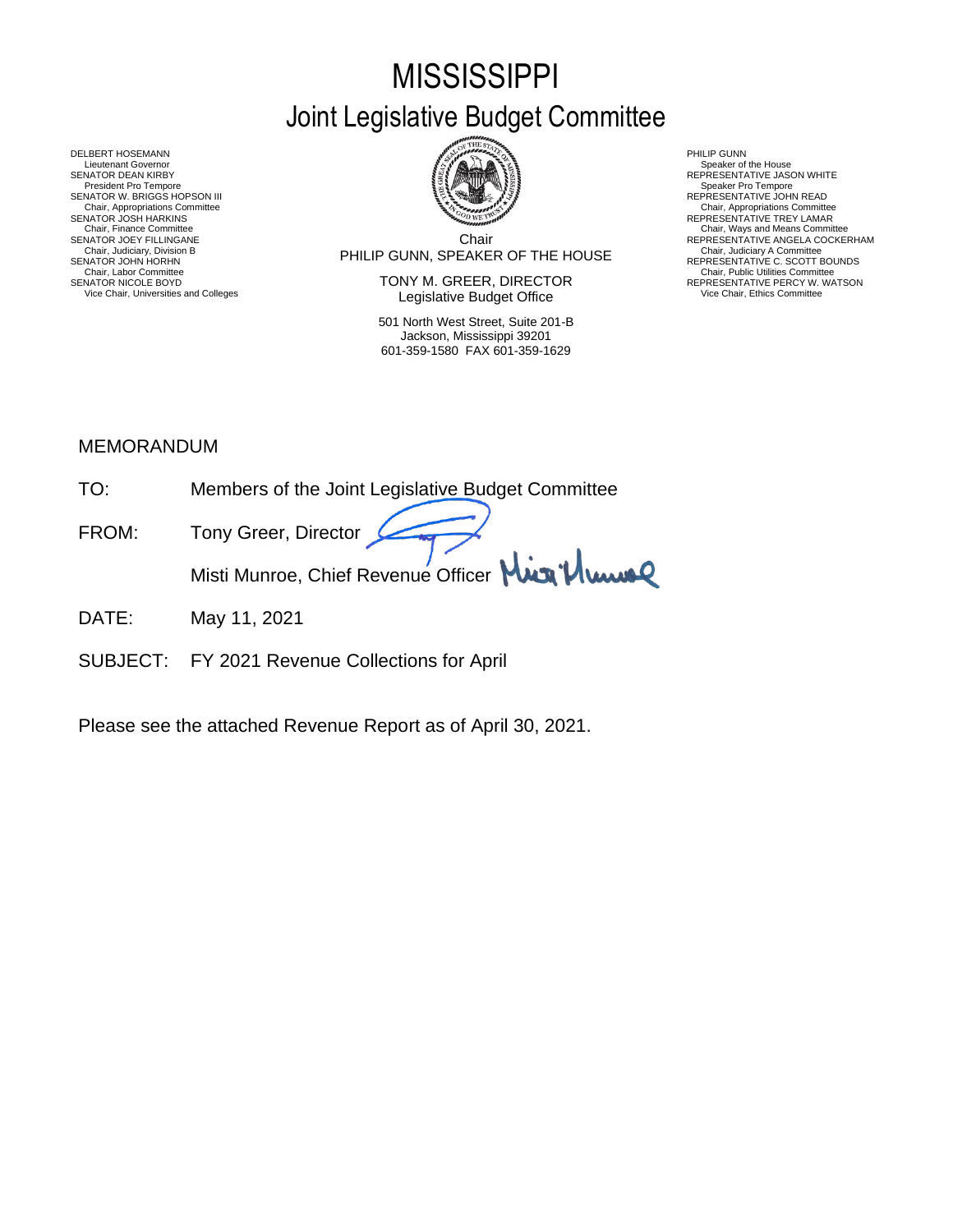# **MISSISSIPPI** Joint Legislative Budget Committee



DELBERT HOSEMANN PHILIP GUNN<br>Lieutenant Governor Speaker of Speaker of Speaker of Speaker of Speaker of Speaker of Speaker of Speaker of Sp Lieutenant Governor Speaker of the House (Seaker of the House Speaker of the House Speaker of the House Speaker of the House Speaker of the House Speaker of the House Speaker of the House Speaker of the House Speaker of th SENATOR DEAN KIRBY GERATOR DEAN KIRBY AND REPRESENTATIVE JASON WHITE<br>President Pro Tempore Speaker Pro Tempore Speaker Pro Tempore SENATOR W. BRIGGS HOPSON III READ AND READ AND REPRESENTATIVE JOHN READ Chair, Appropriations Committee<br>SENATOR JOSH HARKINS<br>Chair, Finance Committee Chair, Finance Committee Chair, Ways and Means Committee Chair, Ways and Means Committee Chair, Ways and Means Committee Chair Chair Chair Chair Chair Chair Chair Chair Chair Chair Chair Chair Chair Chair Chair Chair Chair SENATOR JOHN HORHN COMMENTATIVE C. SCOTT BOUNDS<br>Chair, Labor Committee Chair, Public Utilities Committee Committee Committee Committee Committee Committee Committee

Chair PHILIP GUNN, SPEAKER OF THE HOUSE Chair, Judiciary, Division B Chair, Judiciary A Committee SENATOR JOEY FILLINGANE SERES ANGELA COCKERHAM THE CHILING CHAIR COLLECTION CHAIR COLLECTION CONTINUE ANGELA COCKERHAM CHAIR, JUDICAL ANGELA COCKERHAM CHAIR, JUDICAL ANGELA COCKERHAM CHAIR, JUDICAL ANGELA COLLECTION COMMET

SENATOR NICOLE BOYD **SENATOR IN TONY M. GREER, DIRECTOR** REPRESENTATIVE PERCY W. WATSON Vice Chair, Universities and Colleges **Network Constructed Constructed Constructer** Vice Chair, Ethics Committee

> 501 North West Street, Suite 201-B Jackson, Mississippi 39201 601-359-1580 FAX 601-359-1629

- 
- 
- Chair, Appropriations Committee<br>REPRESENTATIVE TREY LAMAR
- 
- 

## MEMORANDUM

- TO: Members of the Joint Legislative Budget Committee
- FROM: Tony Greer, Director Misti Munroe, Chief Revenue Officer Mun<sup>1</sup>/ Www
- DATE: May 11, 2021
- SUBJECT: FY 2021 Revenue Collections for April

Please see the attached Revenue Report as of April 30, 2021.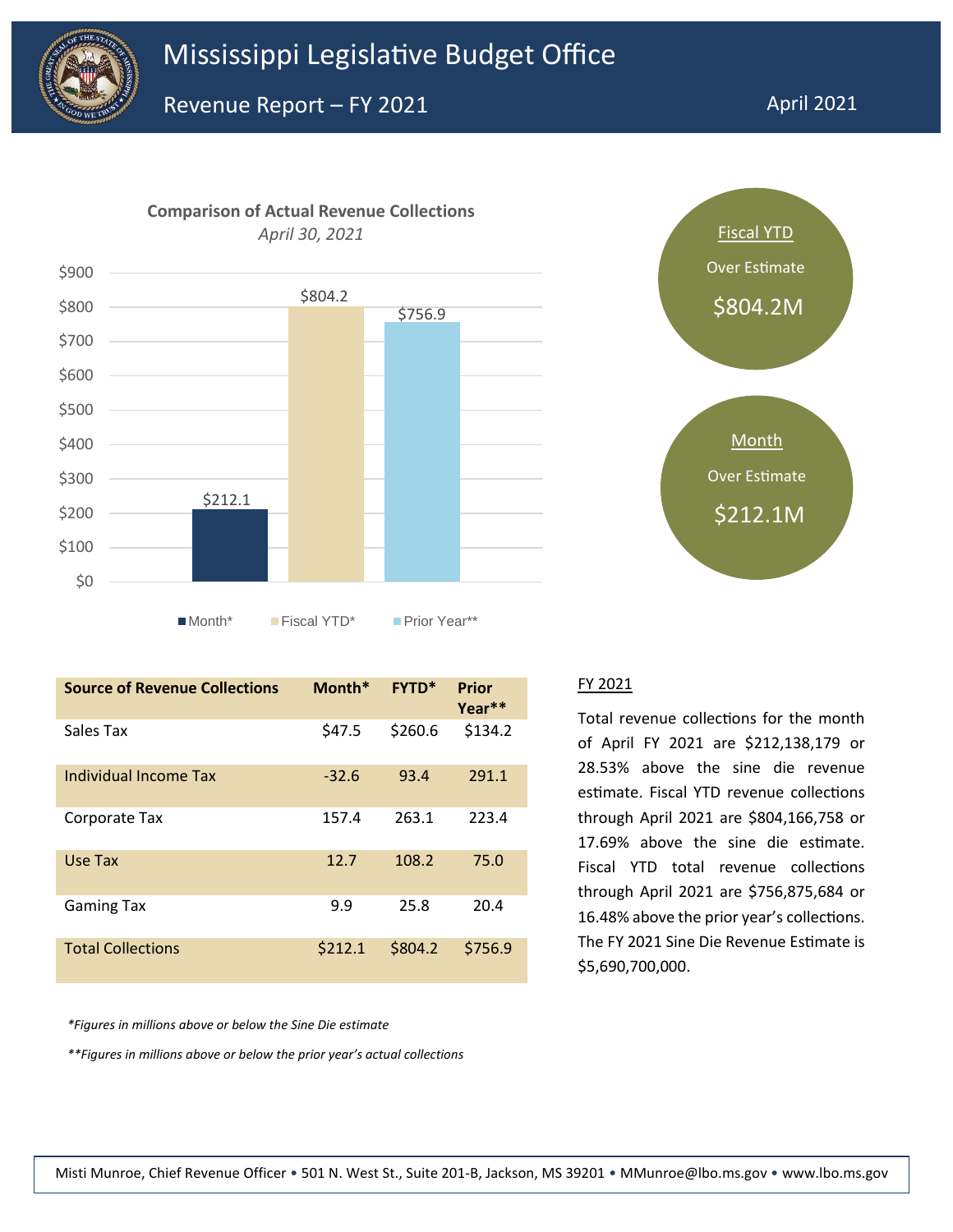





| <b>Source of Revenue Collections</b> | Month*  | <b>FYTD*</b> | Prior<br>Year** |
|--------------------------------------|---------|--------------|-----------------|
| Sales Tax                            | \$47.5  | \$260.6      | \$134.2         |
| Individual Income Tax                | $-32.6$ | 93.4         | 291.1           |
| Corporate Tax                        | 157.4   | 263.1        | 223.4           |
| Use Tax                              | 12.7    | 108.2        | 75.0            |
| <b>Gaming Tax</b>                    | 9.9     | 25.8         | 20.4            |
| <b>Total Collections</b>             | \$212.1 | \$804.2      | \$756.9         |

*\*Figures in millions above or below the Sine Die estimate*

*\*\*Figures in millions above or below the prior year's actual collections*

#### FY 2021

Total revenue collections for the month of April FY 2021 are \$212,138,179 or 28.53% above the sine die revenue estimate. Fiscal YTD revenue collections through April 2021 are \$804,166,758 or 17.69% above the sine die estimate. Fiscal YTD total revenue collections through April 2021 are \$756,875,684 or 16.48% above the prior year's collections. The FY 2021 Sine Die Revenue Estimate is \$5,690,700,000.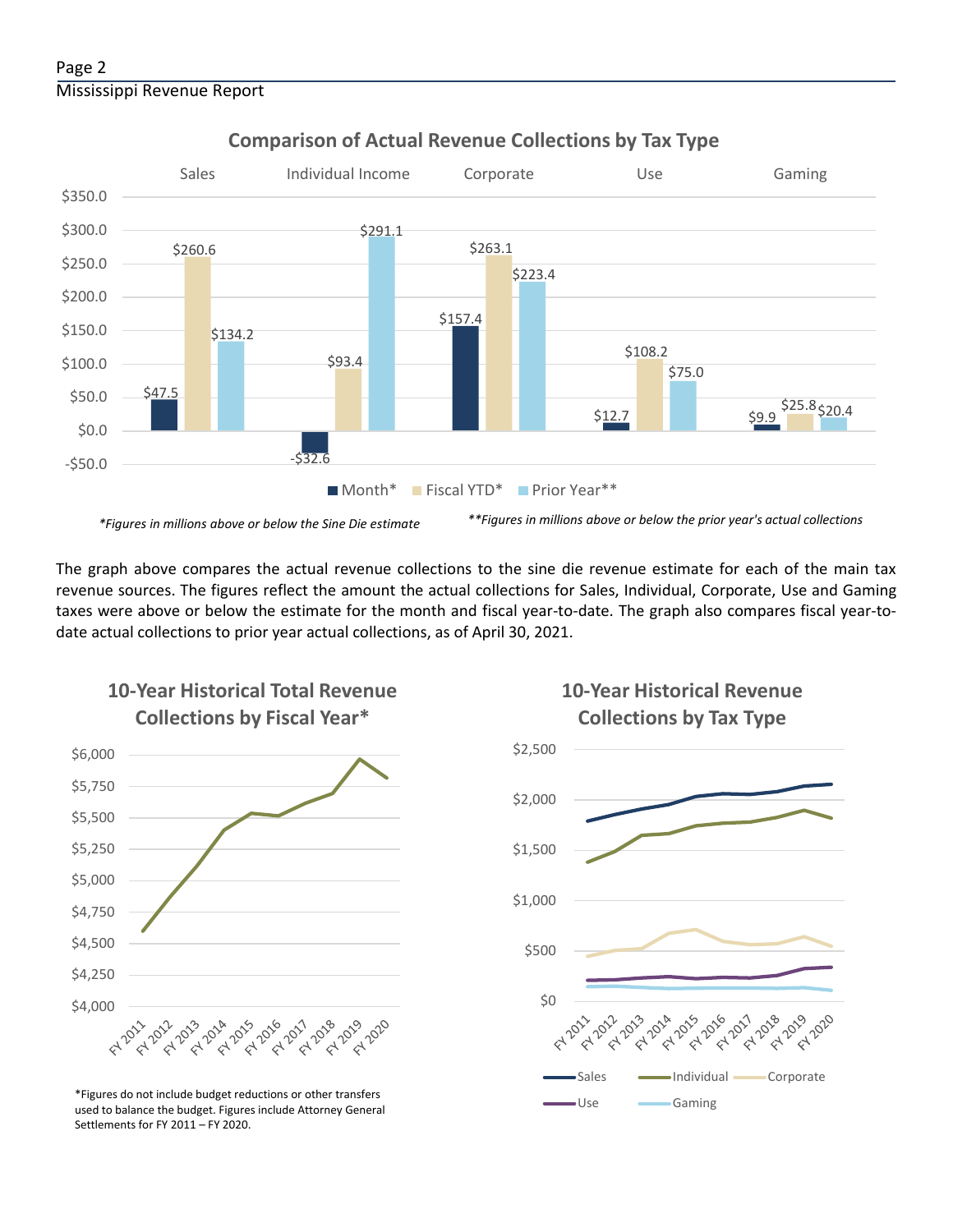### Page 2 Mississippi Revenue Report



### **Comparison of Actual Revenue Collections by Tax Type**

*\*Figures in millions above or below the Sine Die estimate \*\*Figures in millions above or below the prior year's actual collections*

The graph above compares the actual revenue collections to the sine die revenue estimate for each of the main tax revenue sources. The figures reflect the amount the actual collections for Sales, Individual, Corporate, Use and Gaming taxes were above or below the estimate for the month and fiscal year-to-date. The graph also compares fiscal year-todate actual collections to prior year actual collections, as of April 30, 2021.



used to balance the budget. Figures include Attorney General

Settlements for FY 2011 – FY 2020.

**10-Year Historical Revenue Collections by Tax Type**

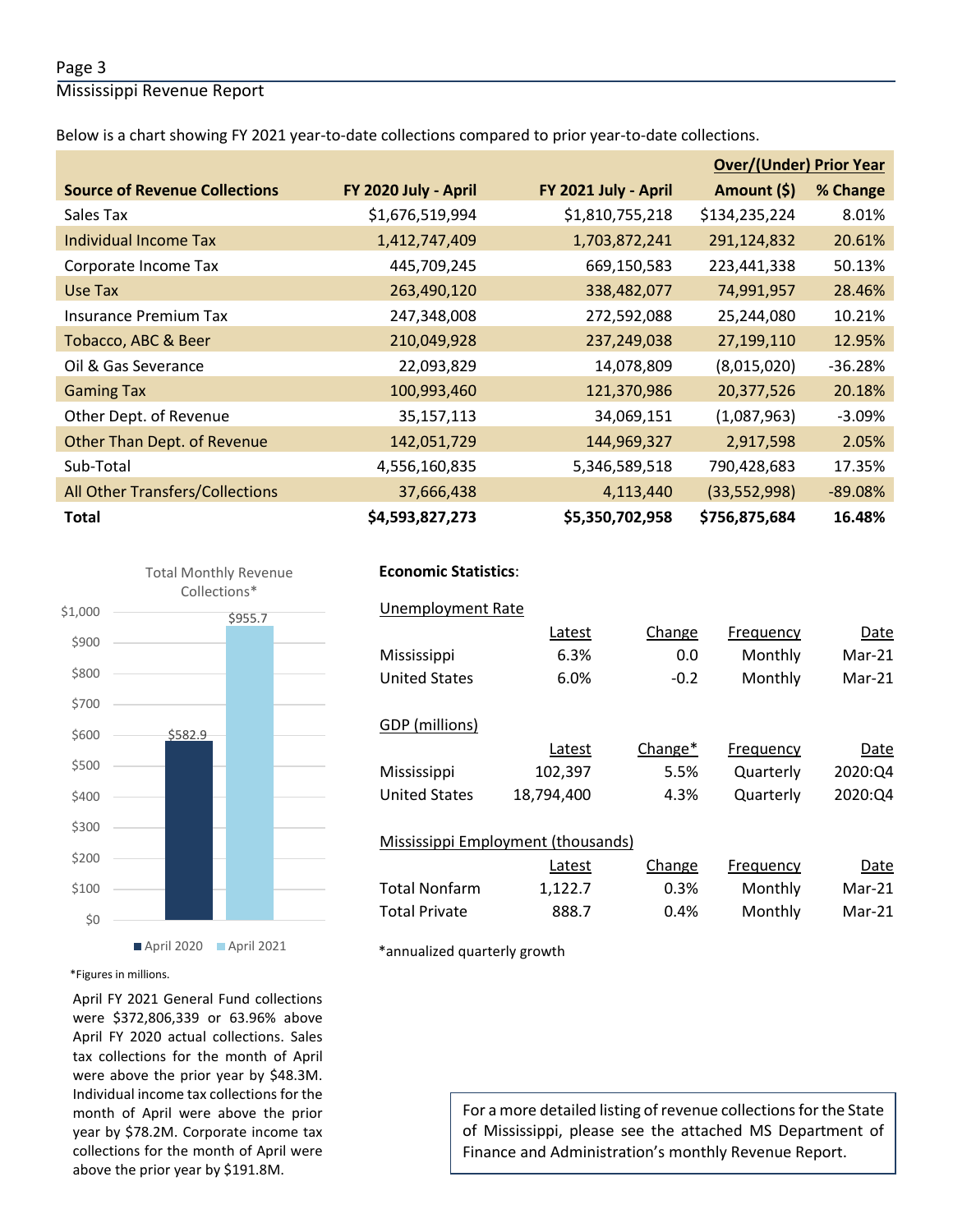#### Page 3

Mississippi Revenue Report

Below is a chart showing FY 2021 year-to-date collections compared to prior year-to-date collections.

|                                        |                      |                      | <b>Over/(Under) Prior Year</b> |           |  |
|----------------------------------------|----------------------|----------------------|--------------------------------|-----------|--|
| <b>Source of Revenue Collections</b>   | FY 2020 July - April | FY 2021 July - April | Amount (\$)                    | % Change  |  |
| Sales Tax                              | \$1,676,519,994      | \$1,810,755,218      | \$134,235,224                  | 8.01%     |  |
| Individual Income Tax                  | 1,412,747,409        | 1,703,872,241        | 291,124,832                    | 20.61%    |  |
| Corporate Income Tax                   | 445,709,245          | 669,150,583          | 223,441,338                    | 50.13%    |  |
| Use Tax                                | 263,490,120          | 338,482,077          | 74,991,957                     | 28.46%    |  |
| Insurance Premium Tax                  | 247,348,008          | 272,592,088          | 25,244,080                     | 10.21%    |  |
| Tobacco, ABC & Beer                    | 210,049,928          | 237,249,038          | 27,199,110                     | 12.95%    |  |
| Oil & Gas Severance                    | 22,093,829           | 14,078,809           | (8,015,020)                    | $-36.28%$ |  |
| <b>Gaming Tax</b>                      | 100,993,460          | 121,370,986          | 20,377,526                     | 20.18%    |  |
| Other Dept. of Revenue                 | 35,157,113           | 34,069,151           | (1,087,963)                    | $-3.09%$  |  |
| Other Than Dept. of Revenue            | 142,051,729          | 144,969,327          | 2,917,598                      | 2.05%     |  |
| Sub-Total                              | 4,556,160,835        | 5,346,589,518        | 790,428,683                    | 17.35%    |  |
| <b>All Other Transfers/Collections</b> | 37,666,438           | 4,113,440            | (33,552,998)                   | $-89.08%$ |  |
| <b>Total</b>                           | \$4,593,827,273      | \$5,350,702,958      | \$756,875,684                  | 16.48%    |  |



## **Economic Statistics**:  **Economic Statistics**:

## Unemployment Rate Unemployment Rate Latest Change Frequency Date Latest Change Frequency Date Mississippi 4.9% 0.1 Monthly Mar-19 Mississippi 6.3% 0.0 Monthly Mar-21 102,397 5.5% Quarterly 2020:Q4 United States 18,794,400 4.3% Quarterly 2020:Q4 Latest 1,122.7 0.3% Monthly Mar-21 Total Private and 888.7 and 19.4% Monthly Mar-21 United States 6.0% -0.2 Monthly Mar-21 GDP (millions) Latest Change\* Frequency Date Mississippi Mississippi Employment (thousands) Change Frequency Date **Total Nonfarm**

\*annualized quarterly growth

#### \*Figures in millions.

April FY 2021 General Fund collections were \$372,806,339 or 63.96% above April FY 2020 actual collections. Sales tax collections for the month of April were above the prior year by \$48.3M. Individual income tax collections for the month of April were above the prior year by \$78.2M. Corporate income tax collections for the month of April were above the prior year by \$191.8M.

For a more detailed listing of revenue collections for the State of Mississippi, please see the attached MS Department of Finance and Administration's monthly Revenue Report.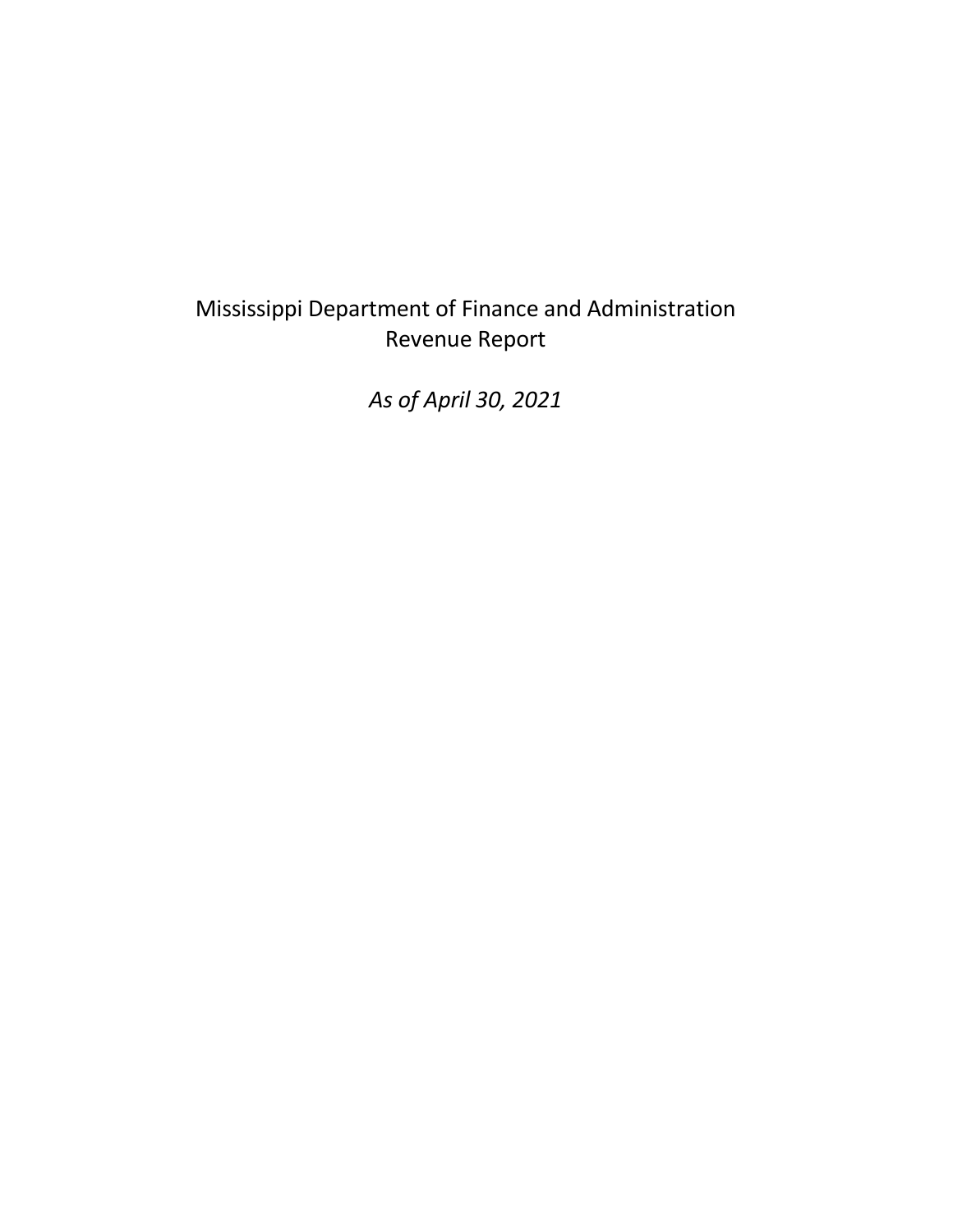## Mississippi Department of Finance and Administration Revenue Report

*As of April 30, 2021*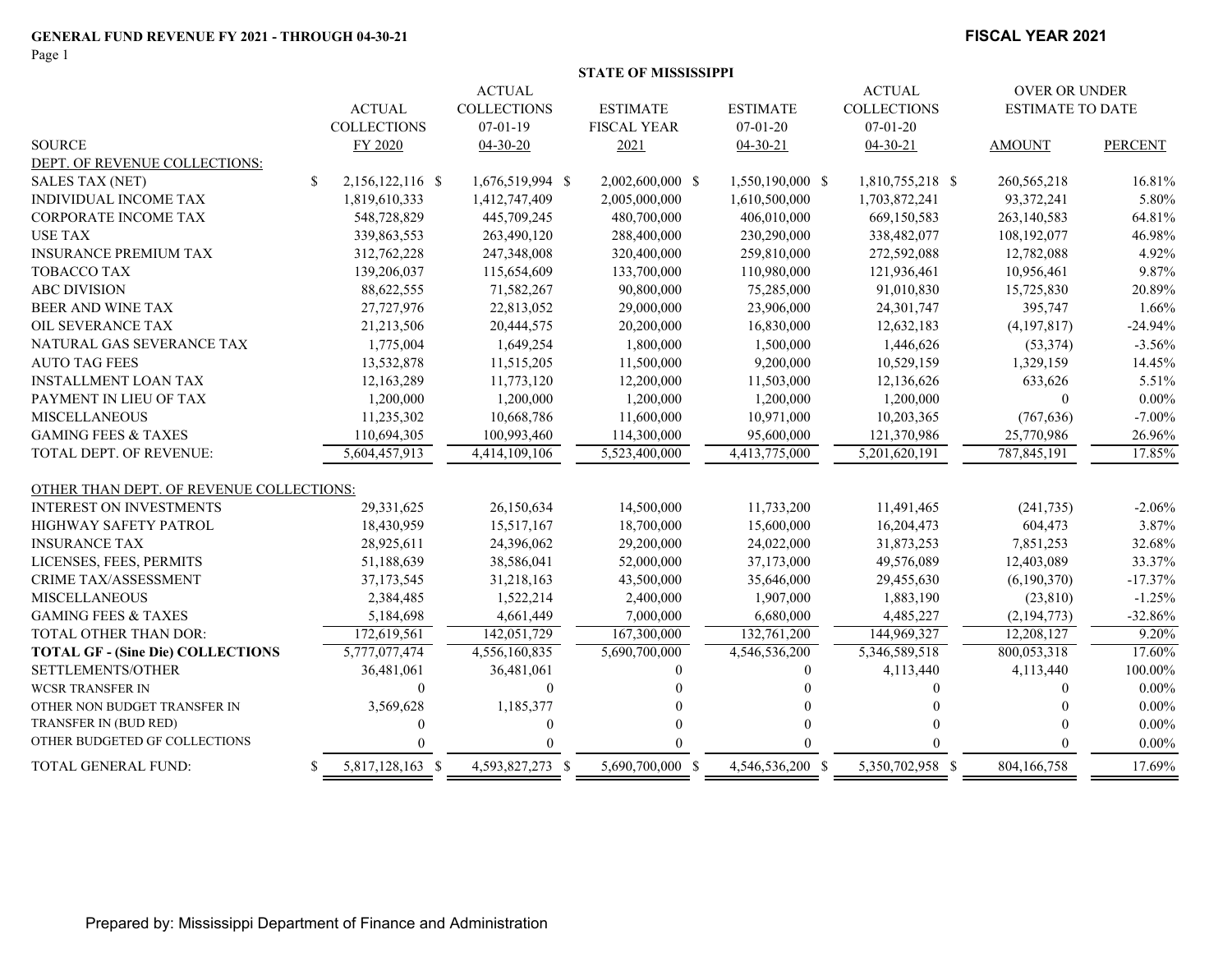#### **FISCAL YEAR 2021**

|                                          | <b>ACTUAL</b><br><b>COLLECTIONS</b> | <b>ACTUAL</b><br><b>COLLECTIONS</b><br>$07 - 01 - 19$ | <b>ESTIMATE</b><br><b>FISCAL YEAR</b> | <b>ESTIMATE</b><br>$07-01-20$ | <b>ACTUAL</b><br><b>COLLECTIONS</b><br>$07 - 01 - 20$ | <b>OVER OR UNDER</b><br><b>ESTIMATE TO DATE</b> |                |
|------------------------------------------|-------------------------------------|-------------------------------------------------------|---------------------------------------|-------------------------------|-------------------------------------------------------|-------------------------------------------------|----------------|
| <b>SOURCE</b>                            | FY 2020                             | $04 - 30 - 20$                                        | 2021                                  | $04 - 30 - 21$                | $04 - 30 - 21$                                        | <b>AMOUNT</b>                                   | <b>PERCENT</b> |
| DEPT. OF REVENUE COLLECTIONS:            |                                     |                                                       |                                       |                               |                                                       |                                                 |                |
| <b>SALES TAX (NET)</b>                   | <sup>\$</sup><br>2,156,122,116 \$   | 1,676,519,994 \$                                      | 2,002,600,000 \$                      | 1,550,190,000 \$              | 1,810,755,218 \$                                      | 260, 565, 218                                   | 16.81%         |
| <b>INDIVIDUAL INCOME TAX</b>             | 1,819,610,333                       | 1,412,747,409                                         | 2,005,000,000                         | 1,610,500,000                 | 1,703,872,241                                         | 93,372,241                                      | 5.80%          |
| <b>CORPORATE INCOME TAX</b>              | 548,728,829                         | 445,709,245                                           | 480,700,000                           | 406,010,000                   | 669,150,583                                           | 263,140,583                                     | 64.81%         |
| <b>USE TAX</b>                           | 339,863,553                         | 263,490,120                                           | 288,400,000                           | 230,290,000                   | 338,482,077                                           | 108,192,077                                     | 46.98%         |
| <b>INSURANCE PREMIUM TAX</b>             | 312,762,228                         | 247,348,008                                           | 320,400,000                           | 259,810,000                   | 272,592,088                                           | 12,782,088                                      | 4.92%          |
| TOBACCO TAX                              | 139,206,037                         | 115,654,609                                           | 133,700,000                           | 110,980,000                   | 121,936,461                                           | 10,956,461                                      | 9.87%          |
| <b>ABC DIVISION</b>                      | 88,622,555                          | 71,582,267                                            | 90,800,000                            | 75,285,000                    | 91,010,830                                            | 15,725,830                                      | 20.89%         |
| BEER AND WINE TAX                        | 27,727,976                          | 22,813,052                                            | 29,000,000                            | 23,906,000                    | 24,301,747                                            | 395,747                                         | 1.66%          |
| OIL SEVERANCE TAX                        | 21,213,506                          | 20,444,575                                            | 20,200,000                            | 16,830,000                    | 12,632,183                                            | (4,197,817)                                     | $-24.94%$      |
| NATURAL GAS SEVERANCE TAX                | 1,775,004                           | 1,649,254                                             | 1,800,000                             | 1,500,000                     | 1,446,626                                             | (53, 374)                                       | $-3.56%$       |
| <b>AUTO TAG FEES</b>                     | 13,532,878                          | 11,515,205                                            | 11,500,000                            | 9,200,000                     | 10,529,159                                            | 1,329,159                                       | 14.45%         |
| <b>INSTALLMENT LOAN TAX</b>              | 12,163,289                          | 11,773,120                                            | 12,200,000                            | 11,503,000                    | 12,136,626                                            | 633,626                                         | 5.51%          |
| PAYMENT IN LIEU OF TAX                   | 1,200,000                           | 1,200,000                                             | 1,200,000                             | 1,200,000                     | 1,200,000                                             | $\mathbf{0}$                                    | $0.00\%$       |
| <b>MISCELLANEOUS</b>                     | 11,235,302                          | 10,668,786                                            | 11,600,000                            | 10,971,000                    | 10,203,365                                            | (767, 636)                                      | $-7.00\%$      |
| <b>GAMING FEES &amp; TAXES</b>           | 110,694,305                         | 100,993,460                                           | 114,300,000                           | 95,600,000                    | 121,370,986                                           | 25,770,986                                      | 26.96%         |
| <b>TOTAL DEPT. OF REVENUE:</b>           | 5,604,457,913                       | 4,414,109,106                                         | 5,523,400,000                         | 4,413,775,000                 | 5,201,620,191                                         | 787,845,191                                     | 17.85%         |
| OTHER THAN DEPT. OF REVENUE COLLECTIONS: |                                     |                                                       |                                       |                               |                                                       |                                                 |                |
| <b>INTEREST ON INVESTMENTS</b>           | 29,331,625                          | 26,150,634                                            | 14,500,000                            | 11,733,200                    | 11,491,465                                            | (241, 735)                                      | $-2.06%$       |
| <b>HIGHWAY SAFETY PATROL</b>             | 18,430,959                          | 15,517,167                                            | 18,700,000                            | 15,600,000                    | 16,204,473                                            | 604,473                                         | 3.87%          |
| <b>INSURANCE TAX</b>                     | 28,925,611                          | 24,396,062                                            | 29,200,000                            | 24,022,000                    | 31,873,253                                            | 7,851,253                                       | 32.68%         |
| LICENSES, FEES, PERMITS                  | 51,188,639                          | 38,586,041                                            | 52,000,000                            | 37,173,000                    | 49,576,089                                            | 12,403,089                                      | 33.37%         |
| <b>CRIME TAX/ASSESSMENT</b>              | 37,173,545                          | 31,218,163                                            | 43,500,000                            | 35,646,000                    | 29,455,630                                            | (6,190,370)                                     | $-17.37%$      |
| <b>MISCELLANEOUS</b>                     | 2,384,485                           | 1,522,214                                             | 2,400,000                             | 1,907,000                     | 1,883,190                                             | (23, 810)                                       | $-1.25%$       |
| <b>GAMING FEES &amp; TAXES</b>           | 5,184,698                           | 4,661,449                                             | 7,000,000                             | 6,680,000                     | 4,485,227                                             | (2, 194, 773)                                   | $-32.86%$      |
| TOTAL OTHER THAN DOR:                    | 172,619,561                         | 142,051,729                                           | 167,300,000                           | 132,761,200                   | 144,969,327                                           | 12,208,127                                      | 9.20%          |
| <b>TOTAL GF - (Sine Die) COLLECTIONS</b> | 5,777,077,474                       | 4,556,160,835                                         | 5,690,700,000                         | 4,546,536,200                 | 5,346,589,518                                         | 800,053,318                                     | 17.60%         |
| SETTLEMENTS/OTHER                        | 36,481,061                          | 36,481,061                                            | $\Omega$                              | $\Omega$                      | 4,113,440                                             | 4,113,440                                       | 100.00%        |
| <b>WCSR TRANSFER IN</b>                  | $\theta$                            | $\Omega$                                              |                                       |                               | 0                                                     | $\theta$                                        | $0.00\%$       |
| OTHER NON BUDGET TRANSFER IN             | 3,569,628                           | 1,185,377                                             |                                       |                               |                                                       |                                                 | $0.00\%$       |
| TRANSFER IN (BUD RED)                    | $\Omega$                            | $\Omega$                                              |                                       |                               |                                                       |                                                 | $0.00\%$       |
| OTHER BUDGETED GF COLLECTIONS            |                                     |                                                       |                                       |                               |                                                       |                                                 | $0.00\%$       |
| <b>TOTAL GENERAL FUND:</b>               | 5,817,128,163 \$<br>\$.             | 4,593,827,273 \$                                      | 5,690,700,000 \$                      | 4.546.536.200 \$              | 5.350.702.958 \$                                      | 804.166.758                                     | 17.69%         |

**STATE OF MISSISSIPPI**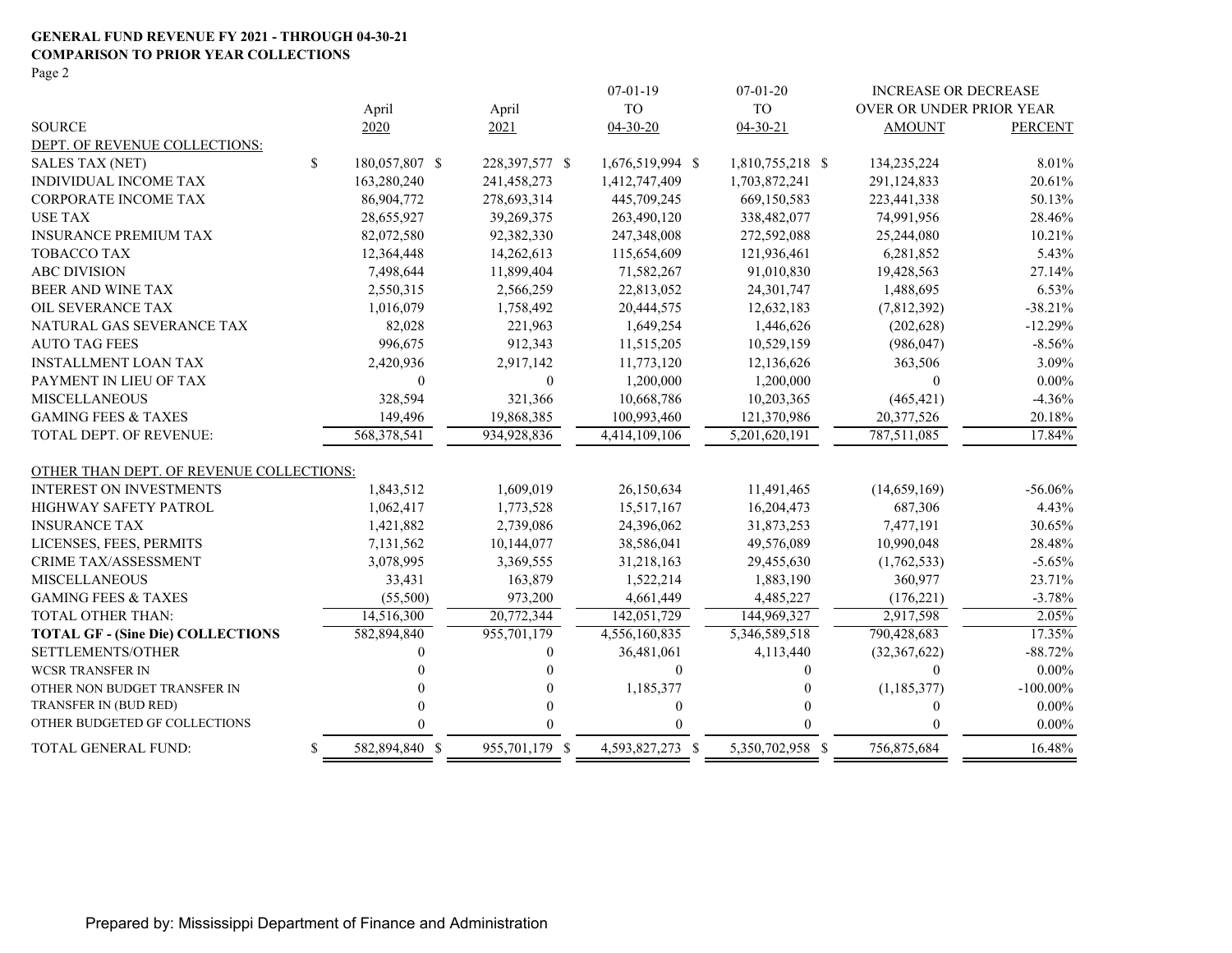#### **GENERAL FUND REVENUE FY 2021 - THROUGH 04-30-21 COMPARISON TO PRIOR YEAR COLLECTIONS**

Page 2

|                                          |    |                |                | $07-01-19$       | $07 - 01 - 20$             | <b>INCREASE OR DECREASE</b> |                |
|------------------------------------------|----|----------------|----------------|------------------|----------------------------|-----------------------------|----------------|
|                                          |    | April          | April          | <b>TO</b>        | <b>TO</b>                  | OVER OR UNDER PRIOR YEAR    |                |
| <b>SOURCE</b>                            |    | 2020           | 2021           | $04 - 30 - 20$   | $04 - 30 - 21$             | <b>AMOUNT</b>               | <b>PERCENT</b> |
| DEPT. OF REVENUE COLLECTIONS:            |    |                |                |                  |                            |                             |                |
| SALES TAX (NET)                          | \$ | 180,057,807 \$ | 228,397,577 \$ | 1,676,519,994 \$ | 1,810,755,218 \$           | 134,235,224                 | 8.01%          |
| <b>INDIVIDUAL INCOME TAX</b>             |    | 163,280,240    | 241,458,273    | 1,412,747,409    | 1,703,872,241              | 291,124,833                 | 20.61%         |
| CORPORATE INCOME TAX                     |    | 86,904,772     | 278,693,314    | 445,709,245      | 669,150,583                | 223,441,338                 | 50.13%         |
| <b>USE TAX</b>                           |    | 28,655,927     | 39,269,375     | 263,490,120      | 338,482,077                | 74,991,956                  | 28.46%         |
| <b>INSURANCE PREMIUM TAX</b>             |    | 82,072,580     | 92,382,330     | 247,348,008      | 272,592,088                | 25,244,080                  | 10.21%         |
| <b>TOBACCO TAX</b>                       |    | 12,364,448     | 14,262,613     | 115,654,609      | 121,936,461                | 6,281,852                   | 5.43%          |
| <b>ABC DIVISION</b>                      |    | 7,498,644      | 11,899,404     | 71,582,267       | 91,010,830                 | 19,428,563                  | 27.14%         |
| BEER AND WINE TAX                        |    | 2,550,315      | 2,566,259      | 22,813,052       | 24,301,747                 | 1,488,695                   | 6.53%          |
| OIL SEVERANCE TAX                        |    | 1,016,079      | 1,758,492      | 20,444,575       | 12,632,183                 | (7,812,392)                 | $-38.21%$      |
| NATURAL GAS SEVERANCE TAX                |    | 82,028         | 221,963        | 1,649,254        | 1,446,626                  | (202, 628)                  | $-12.29%$      |
| <b>AUTO TAG FEES</b>                     |    | 996,675        | 912,343        | 11,515,205       | 10,529,159                 | (986, 047)                  | $-8.56%$       |
| <b>INSTALLMENT LOAN TAX</b>              |    | 2,420,936      | 2,917,142      | 11,773,120       | 12,136,626                 | 363,506                     | 3.09%          |
| PAYMENT IN LIEU OF TAX                   |    | $\Omega$       | $\theta$       | 1,200,000        | 1,200,000                  | $\theta$                    | $0.00\%$       |
| <b>MISCELLANEOUS</b>                     |    | 328,594        | 321,366        | 10,668,786       | 10,203,365                 | (465, 421)                  | $-4.36%$       |
| <b>GAMING FEES &amp; TAXES</b>           |    | 149,496        | 19,868,385     | 100,993,460      | 121,370,986                | 20,377,526                  | 20.18%         |
| TOTAL DEPT. OF REVENUE:                  |    | 568,378,541    | 934,928,836    | 4,414,109,106    | $\overline{5,201,620,191}$ | 787,511,085                 | 17.84%         |
| OTHER THAN DEPT. OF REVENUE COLLECTIONS: |    |                |                |                  |                            |                             |                |
| <b>INTEREST ON INVESTMENTS</b>           |    | 1,843,512      | 1,609,019      | 26,150,634       | 11,491,465                 | (14,659,169)                | $-56.06%$      |
| HIGHWAY SAFETY PATROL                    |    | 1,062,417      | 1,773,528      | 15,517,167       | 16,204,473                 | 687,306                     | 4.43%          |
| <b>INSURANCE TAX</b>                     |    | 1,421,882      | 2,739,086      | 24,396,062       | 31,873,253                 | 7,477,191                   | 30.65%         |
| LICENSES, FEES, PERMITS                  |    | 7,131,562      | 10,144,077     | 38,586,041       | 49,576,089                 | 10,990,048                  | 28.48%         |
| CRIME TAX/ASSESSMENT                     |    | 3,078,995      | 3,369,555      | 31,218,163       | 29,455,630                 | (1,762,533)                 | $-5.65%$       |
| <b>MISCELLANEOUS</b>                     |    | 33,431         | 163,879        | 1,522,214        | 1,883,190                  | 360,977                     | 23.71%         |
| <b>GAMING FEES &amp; TAXES</b>           |    | (55,500)       | 973,200        | 4,661,449        | 4,485,227                  | (176, 221)                  | $-3.78%$       |
| <b>TOTAL OTHER THAN:</b>                 |    | 14,516,300     | 20,772,344     | 142,051,729      | 144,969,327                | 2,917,598                   | 2.05%          |
| <b>TOTAL GF - (Sine Die) COLLECTIONS</b> |    | 582,894,840    | 955,701,179    | 4,556,160,835    | 5, 346, 589, 518           | 790,428,683                 | 17.35%         |
| SETTLEMENTS/OTHER                        |    |                | $\Omega$       | 36,481,061       | 4,113,440                  | (32, 367, 622)              | $-88.72%$      |
| <b>WCSR TRANSFER IN</b>                  |    |                | 0              | $\boldsymbol{0}$ | 0                          | $\Omega$                    | $0.00\%$       |
| OTHER NON BUDGET TRANSFER IN             |    |                | $\Omega$       | 1,185,377        |                            | (1, 185, 377)               | $-100.00\%$    |
| TRANSFER IN (BUD RED)                    |    |                | $\theta$       | $\boldsymbol{0}$ |                            | $\theta$                    | $0.00\%$       |
| OTHER BUDGETED GF COLLECTIONS            |    |                | $\Omega$       | $\Omega$         |                            | $\Omega$                    | $0.00\%$       |
| TOTAL GENERAL FUND:                      | \$ | 582,894,840 \$ | 955,701,179 \$ | 4,593,827,273 \$ | 5,350,702,958 \$           | 756,875,684                 | 16.48%         |